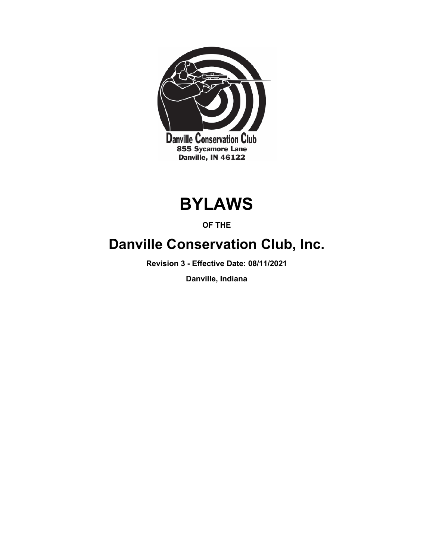

# **BYLAWS**

### **OF THE**

## **Danville Conservation Club, Inc.**

**Revision 3 - Effective Date: 08/11/2021**

**Danville, Indiana**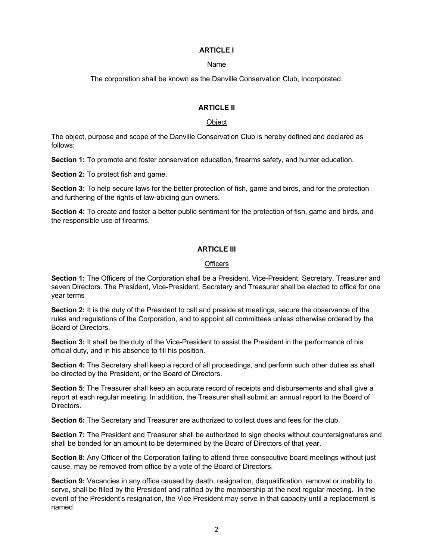#### **ARTICLE I**

#### Name

The corporation shall be known as the Danville Conservation Club, Incorporated.

#### **ARTICLE II**

#### **Object**

The object, purpose and scope of the Danville Conservation Club is hereby defined and declared as follows:

**Section 1:** To promote and foster conservation education, firearms safety, and hunter education.

**Section 2:** To protect fish and game.

**Section 3:** To help secure laws for the better protection of fish, game and birds, and for the protection and furthering of the rights of law-abiding gun owners.

**Section 4:** To create and foster a better public sentiment for the protection of fish, game and birds, and the responsible use of firearms.

#### **ARTICLE III**

#### **Officers**

**Section 1:** The Officers of the Corporation shall be a President, Vice-President, Secretary, Treasurer and seven Directors. The President, Vice-President, Secretary and Treasurer shall be elected to office for one year terms

**Section 2:** It is the duty of the President to call and preside at meetings, secure the observance of the rules and regulations of the Corporation, and to appoint all committees unless otherwise ordered by the Board of Directors.

**Section 3:** It shall be the duty of the Vice-President to assist the President in the performance of his official duty, and in his absence to fill his position.

**Section 4:** The Secretary shall keep a record of all proceedings, and perform such other duties as shall be directed by the President, or the Board of Directors.

**Section 5**: The Treasurer shall keep an accurate record of receipts and disbursements and shall give a report at each regular meeting. In addition, the Treasurer shall submit an annual report to the Board of Directors.

**Section 6:** The Secretary and Treasurer are authorized to collect dues and fees for the club.

**Section 7:** The President and Treasurer shall be authorized to sign checks without countersignatures and shall be bonded for an amount to be determined by the Board of Directors of that year.

**Section 8:** Any Officer of the Corporation failing to attend three consecutive board meetings without just cause, may be removed from office by a vote of the Board of Directors.

**Section 9:** Vacancies in any office caused by death, resignation, disqualification, removal or inability to serve, shall be filled by the President and ratified by the membership at the next regular meeting. In the event of the President's resignation, the Vice President may serve in that capacity until a replacement is named.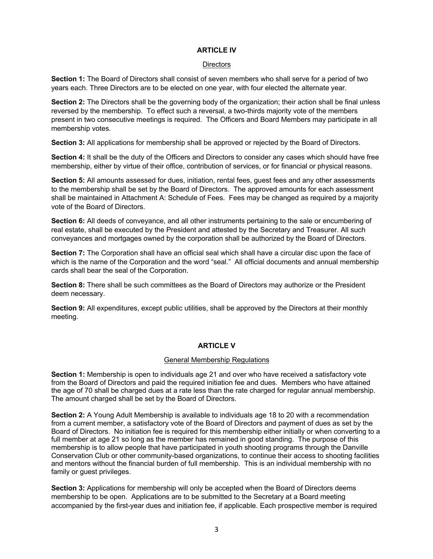#### **ARTICLE IV**

#### **Directors**

**Section 1:** The Board of Directors shall consist of seven members who shall serve for a period of two years each. Three Directors are to be elected on one year, with four elected the alternate year.

**Section 2:** The Directors shall be the governing body of the organization; their action shall be final unless reversed by the membership. To effect such a reversal, a two-thirds majority vote of the members present in two consecutive meetings is required. The Officers and Board Members may participate in all membership votes.

**Section 3:** All applications for membership shall be approved or rejected by the Board of Directors.

**Section 4:** It shall be the duty of the Officers and Directors to consider any cases which should have free membership, either by virtue of their office, contribution of services, or for financial or physical reasons.

Section 5: All amounts assessed for dues, initiation, rental fees, guest fees and any other assessments to the membership shall be set by the Board of Directors. The approved amounts for each assessment shall be maintained in Attachment A: Schedule of Fees. Fees may be changed as required by a majority vote of the Board of Directors.

**Section 6:** All deeds of conveyance, and all other instruments pertaining to the sale or encumbering of real estate, shall be executed by the President and attested by the Secretary and Treasurer. All such conveyances and mortgages owned by the corporation shall be authorized by the Board of Directors.

**Section 7:** The Corporation shall have an official seal which shall have a circular disc upon the face of which is the name of the Corporation and the word "seal." All official documents and annual membership cards shall bear the seal of the Corporation.

**Section 8:** There shall be such committees as the Board of Directors may authorize or the President deem necessary.

**Section 9:** All expenditures, except public utilities, shall be approved by the Directors at their monthly meeting.

#### **ARTICLE V**

#### General Membership Regulations

**Section 1:** Membership is open to individuals age 21 and over who have received a satisfactory vote from the Board of Directors and paid the required initiation fee and dues. Members who have attained the age of 70 shall be charged dues at a rate less than the rate charged for regular annual membership. The amount charged shall be set by the Board of Directors.

**Section 2:** A Young Adult Membership is available to individuals age 18 to 20 with a recommendation from a current member, a satisfactory vote of the Board of Directors and payment of dues as set by the Board of Directors. No initiation fee is required for this membership either initially or when converting to a full member at age 21 so long as the member has remained in good standing. The purpose of this membership is to allow people that have participated in youth shooting programs through the Danville Conservation Club or other community-based organizations, to continue their access to shooting facilities and mentors without the financial burden of full membership. This is an individual membership with no family or guest privileges.

**Section 3:** Applications for membership will only be accepted when the Board of Directors deems membership to be open. Applications are to be submitted to the Secretary at a Board meeting accompanied by the first-year dues and initiation fee, if applicable. Each prospective member is required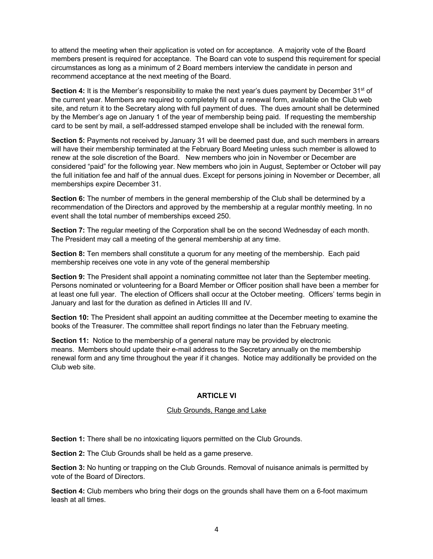to attend the meeting when their application is voted on for acceptance. A majority vote of the Board members present is required for acceptance. The Board can vote to suspend this requirement for special circumstances as long as a minimum of 2 Board members interview the candidate in person and recommend acceptance at the next meeting of the Board.

**Section 4:** It is the Member's responsibility to make the next year's dues payment by December 31<sup>st</sup> of the current year. Members are required to completely fill out a renewal form, available on the Club web site, and return it to the Secretary along with full payment of dues. The dues amount shall be determined by the Member's age on January 1 of the year of membership being paid. If requesting the membership card to be sent by mail, a self-addressed stamped envelope shall be included with the renewal form.

**Section 5:** Payments not received by January 31 will be deemed past due, and such members in arrears will have their membership terminated at the February Board Meeting unless such member is allowed to renew at the sole discretion of the Board. New members who join in November or December are considered "paid" for the following year. New members who join in August, September or October will pay the full initiation fee and half of the annual dues. Except for persons joining in November or December, all memberships expire December 31.

**Section 6:** The number of members in the general membership of the Club shall be determined by a recommendation of the Directors and approved by the membership at a regular monthly meeting. In no event shall the total number of memberships exceed 250.

**Section 7:** The regular meeting of the Corporation shall be on the second Wednesday of each month. The President may call a meeting of the general membership at any time.

**Section 8:** Ten members shall constitute a quorum for any meeting of the membership. Each paid membership receives one vote in any vote of the general membership

**Section 9:** The President shall appoint a nominating committee not later than the September meeting. Persons nominated or volunteering for a Board Member or Officer position shall have been a member for at least one full year. The election of Officers shall occur at the October meeting. Officers' terms begin in January and last for the duration as defined in Articles III and IV.

**Section 10:** The President shall appoint an auditing committee at the December meeting to examine the books of the Treasurer. The committee shall report findings no later than the February meeting.

**Section 11:** Notice to the membership of a general nature may be provided by electronic means. Members should update their e-mail address to the Secretary annually on the membership renewal form and any time throughout the year if it changes. Notice may additionally be provided on the Club web site.

#### **ARTICLE VI**

#### Club Grounds, Range and Lake

**Section 1:** There shall be no intoxicating liquors permitted on the Club Grounds.

**Section 2:** The Club Grounds shall be held as a game preserve.

**Section 3:** No hunting or trapping on the Club Grounds. Removal of nuisance animals is permitted by vote of the Board of Directors.

**Section 4:** Club members who bring their dogs on the grounds shall have them on a 6-foot maximum leash at all times.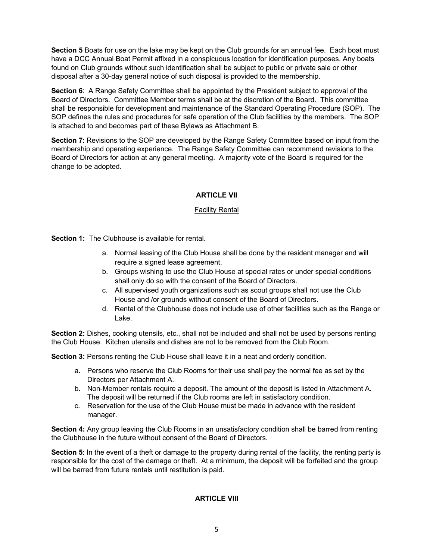**Section 5** Boats for use on the lake may be kept on the Club grounds for an annual fee. Each boat must have a DCC Annual Boat Permit affixed in a conspicuous location for identification purposes. Any boats found on Club grounds without such identification shall be subject to public or private sale or other disposal after a 30-day general notice of such disposal is provided to the membership.

**Section 6**: A Range Safety Committee shall be appointed by the President subject to approval of the Board of Directors. Committee Member terms shall be at the discretion of the Board. This committee shall be responsible for development and maintenance of the Standard Operating Procedure (SOP). The SOP defines the rules and procedures for safe operation of the Club facilities by the members. The SOP is attached to and becomes part of these Bylaws as Attachment B.

**Section 7**: Revisions to the SOP are developed by the Range Safety Committee based on input from the membership and operating experience. The Range Safety Committee can recommend revisions to the Board of Directors for action at any general meeting. A majority vote of the Board is required for the change to be adopted.

#### **ARTICLE VII**

#### **Facility Rental**

**Section 1:** The Clubhouse is available for rental.

- a. Normal leasing of the Club House shall be done by the resident manager and will require a signed lease agreement.
- b. Groups wishing to use the Club House at special rates or under special conditions shall only do so with the consent of the Board of Directors.
- c. All supervised youth organizations such as scout groups shall not use the Club House and /or grounds without consent of the Board of Directors.
- d. Rental of the Clubhouse does not include use of other facilities such as the Range or Lake.

**Section 2:** Dishes, cooking utensils, etc., shall not be included and shall not be used by persons renting the Club House. Kitchen utensils and dishes are not to be removed from the Club Room.

**Section 3: Persons renting the Club House shall leave it in a neat and orderly condition.** 

- a. Persons who reserve the Club Rooms for their use shall pay the normal fee as set by the Directors per Attachment A.
- b. Non-Member rentals require a deposit. The amount of the deposit is listed in Attachment A. The deposit will be returned if the Club rooms are left in satisfactory condition.
- c. Reservation for the use of the Club House must be made in advance with the resident manager.

**Section 4:** Any group leaving the Club Rooms in an unsatisfactory condition shall be barred from renting the Clubhouse in the future without consent of the Board of Directors.

**Section 5**: In the event of a theft or damage to the property during rental of the facility, the renting party is responsible for the cost of the damage or theft. At a minimum, the deposit will be forfeited and the group will be barred from future rentals until restitution is paid.

#### **ARTICLE VIII**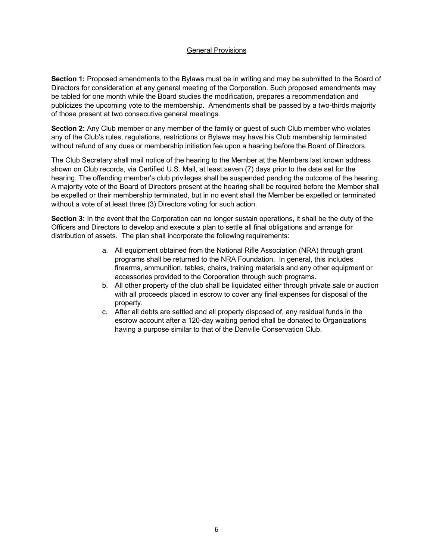#### General Provisions

**Section 1:** Proposed amendments to the Bylaws must be in writing and may be submitted to the Board of Directors for consideration at any general meeting of the Corporation. Such proposed amendments may be tabled for one month while the Board studies the modification, prepares a recommendation and publicizes the upcoming vote to the membership. Amendments shall be passed by a two-thirds majority of those present at two consecutive general meetings.

**Section 2:** Any Club member or any member of the family or guest of such Club member who violates any of the Club's rules, regulations, restrictions or Bylaws may have his Club membership terminated without refund of any dues or membership initiation fee upon a hearing before the Board of Directors.

The Club Secretary shall mail notice of the hearing to the Member at the Members last known address shown on Club records, via Certified U.S. Mail, at least seven (7) days prior to the date set for the hearing. The offending member's club privileges shall be suspended pending the outcome of the hearing. A majority vote of the Board of Directors present at the hearing shall be required before the Member shall be expelled or their membership terminated, but in no event shall the Member be expelled or terminated without a vote of at least three (3) Directors voting for such action.

**Section 3:** In the event that the Corporation can no longer sustain operations, it shall be the duty of the Officers and Directors to develop and execute a plan to settle all final obligations and arrange for distribution of assets. The plan shall incorporate the following requirements:

- a. All equipment obtained from the National Rifle Association (NRA) through grant programs shall be returned to the NRA Foundation. In general, this includes firearms, ammunition, tables, chairs, training materials and any other equipment or accessories provided to the Corporation through such programs.
- b. All other property of the club shall be liquidated either through private sale or auction with all proceeds placed in escrow to cover any final expenses for disposal of the property.
- c. After all debts are settled and all property disposed of, any residual funds in the escrow account after a 120-day waiting period shall be donated to Organizations having a purpose similar to that of the Danville Conservation Club.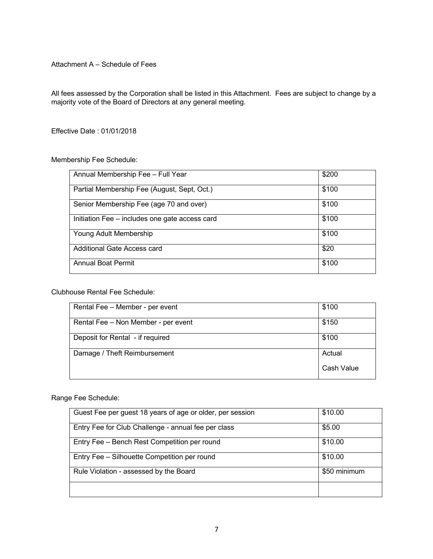Attachment A – Schedule of Fees

All fees assessed by the Corporation shall be listed in this Attachment. Fees are subject to change by a majority vote of the Board of Directors at any general meeting.

Effective Date : 01/01/2018

#### Membership Fee Schedule:

| Annual Membership Fee - Full Year              | \$200 |
|------------------------------------------------|-------|
| Partial Membership Fee (August, Sept, Oct.)    | \$100 |
| Senior Membership Fee (age 70 and over)        | \$100 |
| Initiation Fee – includes one gate access card | \$100 |
| Young Adult Membership                         | \$100 |
| Additional Gate Access card                    | \$20  |
| <b>Annual Boat Permit</b>                      | \$100 |

#### Clubhouse Rental Fee Schedule:

| Rental Fee - Member - per event     | \$100      |
|-------------------------------------|------------|
| Rental Fee - Non Member - per event | \$150      |
| Deposit for Rental - if required    | \$100      |
| Damage / Theft Reimbursement        | Actual     |
|                                     | Cash Value |

#### Range Fee Schedule:

| Guest Fee per guest 18 years of age or older, per session | \$10.00      |
|-----------------------------------------------------------|--------------|
| Entry Fee for Club Challenge - annual fee per class       | \$5.00       |
| Entry Fee - Bench Rest Competition per round              | \$10.00      |
| Entry Fee - Silhouette Competition per round              | \$10.00      |
| Rule Violation - assessed by the Board                    | \$50 minimum |
|                                                           |              |